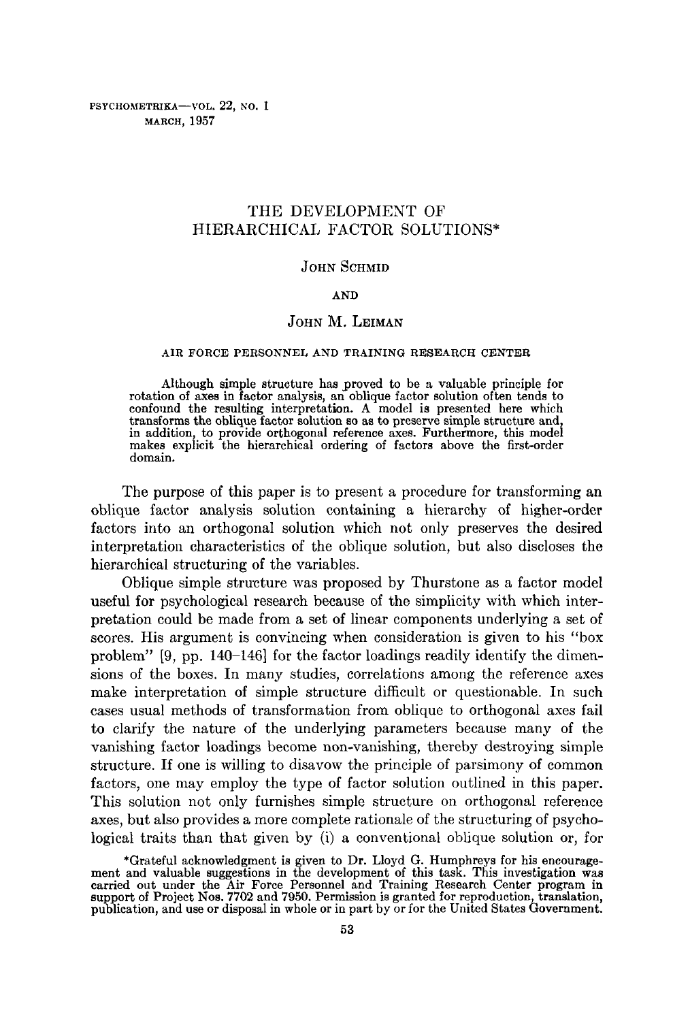PSYCHOMETRIKA-VOL. 22, NO. 1 MARCH, 1957

# THE DEVELOPMENT OF HIERARCHICAL FACTOR SOLUTIONS\*

## JOHN SCHMID

#### AND

## JOHN M. LEIMAN

### AIR FORCE PERSONNEL AND TRAINING RESEARCH CENTER

Although simple structure has proved to be a valuable principle for rotation of axes in factor analysis, an oblique factor solution often tends to confound the resulting interpretation. A model is presented here which transforms the oblique factor solution so as to preserve simple structure and, in addition, to provide orthogonal reference axes. Furthermore, this model makes explicit the hierarchical ordering of factors above the first-order domain.

The purpose of this paper is to present a procedure for transforming an oblique factor analysis solution containing a hierarchy of higher-order factors into an orthogonal solution which not only preserves the desired interpretation characteristics of the oblique solution, but also discloses the hierarchical structuring of the variables.

Oblique simple structure was proposed by Thurstone as a factor model useful for psychological research because of the simplicity with which interpretation could be made from a set of linear components underlying a set of scores. His argument is convincing when consideration is given to his "box problem" [9, pp. 140-146] for the factor loadings readily identify the dimensions of the boxes. In many studies, correlations among the reference axes make interpretation of simple structure difficult or questionable. In such cases usual methods of transformation from oblique to orthogonal axes fail to clarify the nature of the underlying parameters because many of the vanishing factor loadings become non-vanishing, thereby destroying simple structure. If one is willing to disavow the principle of parsimony of common factors, one may employ the type of factor solution outlined in this paper. This solution not only furnishes simple structure on orthogonal reference axes, but also provides a more complete rationale of the structuring of psychological traits than that given by (i) a conventional oblique solution or, for

<sup>\*</sup>Grateful acknowledgment is given to Dr. Lloyd G. Humphreys for his encourage-ment and valuable suggestions in the development of this task. This investigation was carried out under the Air Force Personnel and Training Research Center program in support of Project Nos. 7702 and 7950. Permission is granted for reproduction, translation, publication, and use or disposal in whole or in part by or for the United States Government.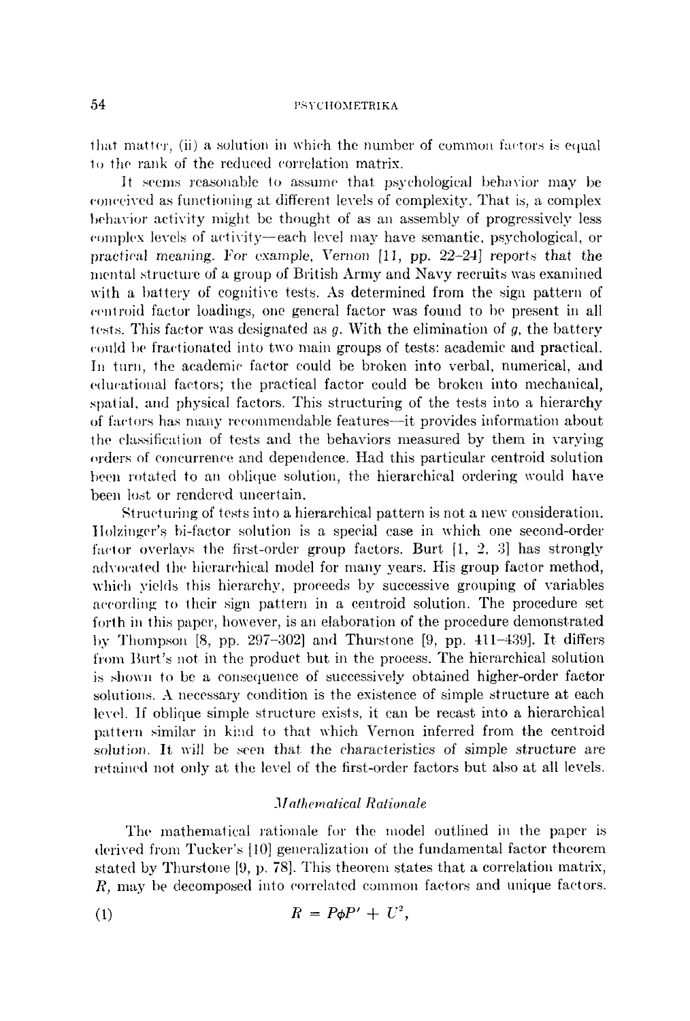that matter, (ii) a solution in which the number of common factors is equal to the rank of the reduced correlation matrix.

It seems reasonable to assume that psychological behavior may be com'eived as functioning at different levels of complexity. That is, a complex behavior activity might be thought of as an assembly of progressively less complex levels of activity--each level may have semantic, psychological, or practical meaning. For example, Vernon [11, pp. *22-24]* reports that the mental structure of a group of British Army and Navy recruits was examined with a battery of cognitive tests. As determined from the sign pattern of cemroid factor loadings, one general factor was found to be present in all tests. This factor was designated as  $q$ . With the elimination of  $q$ , the battery (.ould be fractionated into two nmin groups of tests: academic and practical. In turn, the academic factor could be broken into verbal, numerical, and educational factors; the practical factor could be broken into mechanical, spatial, and physical factors. This structuring of the tests into a hierarchy of factors has many recommendable features—it provides information about the classification of tests and the behaviors measured by them in varying orders of concurrence and dependence. Had this particular centroid solution been rotated to an oblique solution, the hierarchical ordering would have been tost or rendered uncertain.

Structuring of tests into a hierarchical pattern is not a new consideration. l lolzinger's hi-factor solution is a special ease in which one second-order factor overlays the first-order group factors. Burt  $\{1, 2, 3\}$  has strongly advocaled the hierarchical model for many years. His group factor method, which yields this hierarchy, proceeds by successive grouping of variables according to their sign pattern in a eentroid solution. The procedure set forth in this paper, however, is an elaboration of the procedure demonstrated by Thompson  $[8, pp. 297-302]$  and Thurstone  $[9, pp. 411-439]$ . It differs from Burt's not in the product but in the process. The hierarehieal solution is shown to be a consequence of successively obtained higher-order factor solutions. A necessary condition is the existence of simple strueture at each level. If oblique simple structure exists, it can be recast into a hierarchical pattern similar in kind to that which Vernon inferred from the centroid solution. It will be seen that the characteristics of simple structure are retained not only at the level of the first-order factors but also at all levels.

### *Mal/wmalical Ralionale*

The mathematical rationale for the model outlined in the paper is derived from Tucker's [10] generalization of the fundamental factor theorem stated by Thurstone [9, p. 78]. This theorem states that a correlation matrix, R, may be decomposed into correlated common factors and unique factors.

$$
(1) \hspace{1cm} R = P\phi P' + U^2,
$$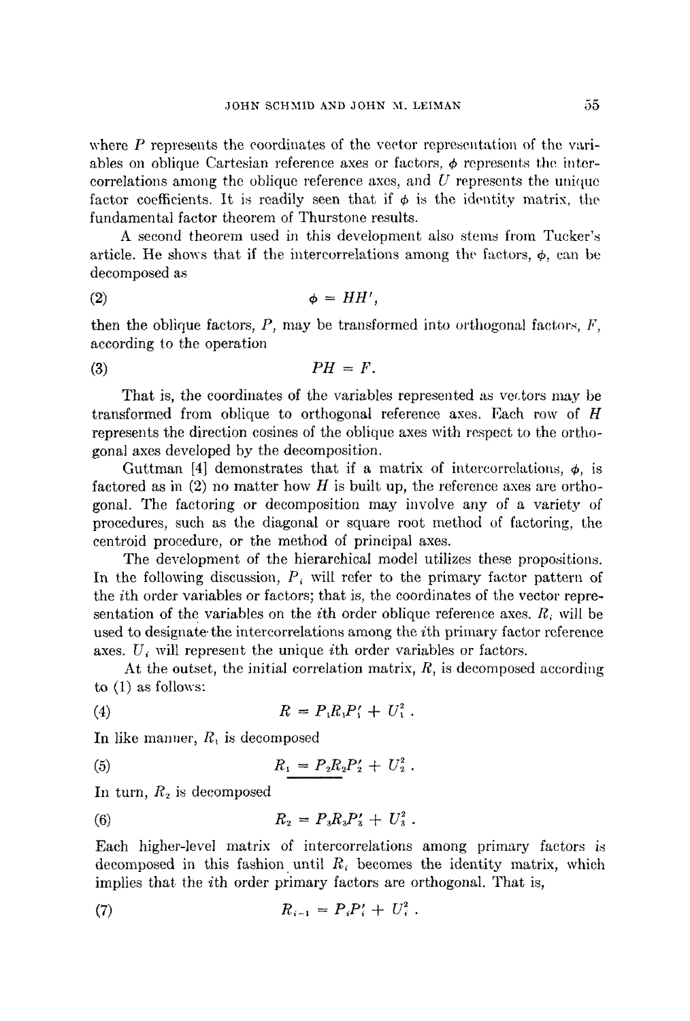where P represents the coordinates of the vector representation of the variables on oblique Cartesian reference axes or factors,  $\phi$  represents the intercorrelations among the oblique reference axes, and  $U$  represents the unique factor coefficients. It is readily seen that if  $\phi$  is the identity matrix, the fundamental factor theorem of Thurstone results.

A second theorem used in this development also stems from Tucker's article. He shows that if the intercorrelations among the factors,  $\phi$ , can be decomposed as

$$
\phi = HH',
$$

then the oblique factors,  $P$ , may be transformed into orthogonal factors,  $F$ , according to the operation

(3)  $PH = F$ .

That is, the coordinates of the variables represented as vectors may be transformed from oblique to orthogonal reference axes. Each row of H represents the direction cosines of the oblique axes with respect to the orthogonat axes developed by the decomposition.

Guttman [4] demonstrates that if a matrix of intercorrelations,  $\phi$ , is factored as in  $(2)$  no matter how H is built up, the reference axes are orthogonal. The factoring or decomposition may involve any of a variety of procedures, such as the diagonal or square root method of factoring, the centroid procedure, or the method of principal axes.

The development of the hierarchical model utilizes these propositions. In the following discussion,  $P_{\ell}$  will refer to the primary factor pattern of the ith order variables or factors; that is, the coordinates of the vector representation of the variables on the *i*th order oblique reference axes.  $R_i$  will be used to designate the intercorrelations among the *i*th primary factor reference axes.  $U_i$  will represent the unique *i*th order variables or factors.

At the outset, the initial correlation matrix, R, is decomposed according to (1) as follows:

(4) 
$$
R = P_1 R_1 P_1' + U_1^2.
$$

In like manner,  $R_1$  is decomposed

(5) 
$$
R_1 = P_2 R_2 P_2' + U_2^2.
$$

In turn,  $R_2$  is decomposed

(6) 
$$
R_2 = P_3 R_3 P'_3 + U_3^2.
$$

Each higher-level matrix of intereorrelations among primary factors is decomposed in this fashion until  $R_i$  becomes the identity matrix, which implies that the ith order primary factors are orthogonal. That is,

(7) 
$$
R_{i-1} = P_i P'_i + U_i^2.
$$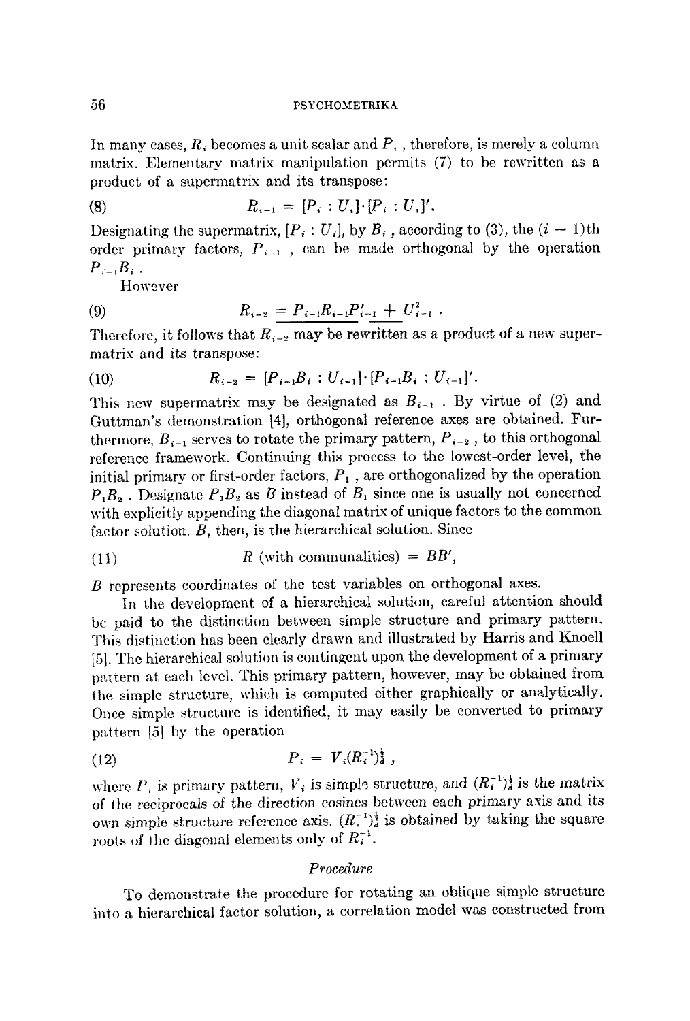In many cases,  $R_i$  becomes a unit scalar and  $P_i$ , therefore, is merely a column matrix. Elementary matrix manipulation permits (7) to be rewritten as a product of a supermatrix and its transpose:

(8) 
$$
R_{i-1} = [P_i : U_i] \cdot [P_i : U_i]'.
$$

Designating the supermatrix,  $[P_i: U_i]$ , by  $B_i$ , according to (3), the  $(i - 1)$ th order primary factors,  $P_{i-1}$ , can be made orthogonal by the operation  $P_{i-1}B_{i}$ .

However

(9) 
$$
R_{i-2} = P_{i-1}R_{i-1}P'_{i-1} + U^2_{i-1}.
$$

Therefore, it follows that  $R_{i-2}$  may be rewritten as a product of a new supermatrix and its transpose:

(10) 
$$
R_{i-2} = [P_{i-1}B_i : U_{i-1}] \cdot [P_{i-1}B_i : U_{i-1}]'.
$$

This new supermatrix may be designated as  $B_{i-1}$ . By virtue of (2) and Guttman's demonstration [4], orthogonal reference axes are obtained. Furthermore,  $B_{i-1}$  serves to rotate the primary pattern,  $P_{i-2}$ , to this orthogonal reference framework. Continuing this process to the lowest-order level, the initial primary or first-order factors,  $P_1$ , are orthogonalized by the operation  $P_1B_2$ . Designate  $P_1B_2$  as B instead of  $B_1$  since one is usually not concerned with explicitly appending the diagonal matrix of unique factors to the common factor solution. *B,* then, is the hierarchical solution. Since

$$
R \text{ (with communities)} = BB',
$$

B represents coordinates of the test variables on orthogonal axes.

In the development of a hierarchical solution, careful attention should be paid to the distinction between simple structure and primary pattern. This distinction has been clearly drawn and illustrated by Harris and Knoell [5]. The hierarchical solution is contingent upon the development of a primary pattern at each level. This primary pattern, however, may be obtained from the simple structure, which is computed either graphically or analytically. Once simple structure is identified, it may easily be converted to primary pattern [5] by the operation

$$
(12) \t\t\t P_i = V_i (R_i^{-1})_d^{\frac{1}{2}},
$$

where  $P_i$  is primary pattern,  $V_i$  is simple structure, and  $(R_i^{-1})_d^{\frac{1}{2}}$  is the matrix of the reciprocals of the direction cosines between each primary axis and its own simple structure reference axis.  $(R_i^{-1})_d^{\dagger}$  is obtained by taking the square roots of the diagonal elements only of  $R_i^{-1}$ .

### *Procedure*

To demonstrate the procedure for rotating an oblique simple structure into a hierarchical factor solution, a correlation model was constructed from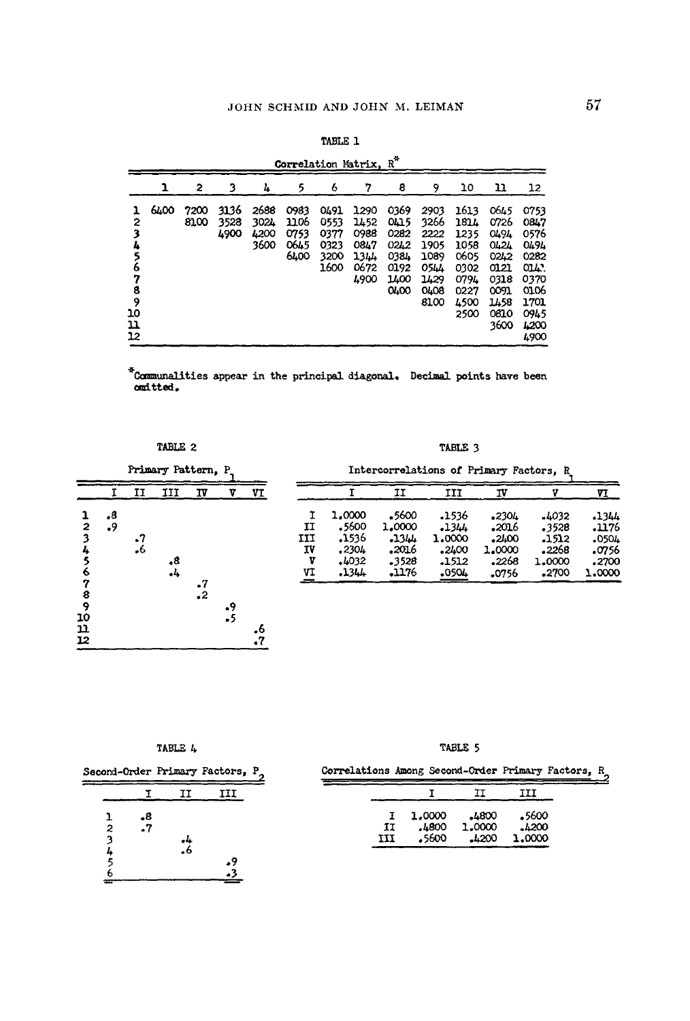|                                                        | Correlation Matrix, R <sup>*</sup> |              |                      |                              |                                      |                                              |                                                      |                                                              |                                                                     |                                                                              |                                                                                       |                                                                                               |  |  |  |
|--------------------------------------------------------|------------------------------------|--------------|----------------------|------------------------------|--------------------------------------|----------------------------------------------|------------------------------------------------------|--------------------------------------------------------------|---------------------------------------------------------------------|------------------------------------------------------------------------------|---------------------------------------------------------------------------------------|-----------------------------------------------------------------------------------------------|--|--|--|
|                                                        | ı                                  | 2            | 3                    | 4                            | 5                                    | 6                                            | 7                                                    | 8                                                            | 9                                                                   | 10                                                                           | 11                                                                                    | 12                                                                                            |  |  |  |
| ı<br>2<br>3<br>4<br>6<br>7<br>8<br>9<br>10<br>11<br>12 | 6400                               | 7200<br>8100 | 3136<br>3528<br>4900 | 2688<br>3024<br>4200<br>3600 | 0983<br>1106<br>0753<br>0645<br>6400 | 0491<br>0553<br>0377<br>0323<br>3200<br>1600 | 1290<br>1452<br>0988<br>0847<br>1344<br>0672<br>4900 | 0369<br>0415<br>0282<br>02L2<br>0384<br>0192<br>1400<br>0400 | 2903<br>3266<br>2222<br>1905<br>1089<br>05h<br>1429<br>0408<br>8100 | 1613<br>1814<br>1235<br>1058<br>0605<br>0302<br>0794<br>0227<br>4500<br>2500 | 0645<br>0726<br>0494<br>04.24<br>0242<br>0121<br>0318<br>0091<br>1458<br>0810<br>3600 | 0753<br>0847<br>0576<br>0494<br>0282<br>OLA .<br>0370<br>0106<br>1701<br>0945<br>4200<br>4900 |  |  |  |

|  | TABLE 1 |  |  |
|--|---------|--|--|
|  | $-$     |  |  |

 $\texttt{\textcolor{red}{*} commandities appear in the principal diagonal. Decimal points have been}$ omitted.

#### TABLE 2

TABLE 3 Intercorrelations of Primary Factors, R



|     |        | п      | III     | IV      |        | VI     |
|-----|--------|--------|---------|---------|--------|--------|
| I   | 1,0000 | -5600  | .1536   | $-230L$ | .1032  | .1344  |
| IJ  | . 5600 | 1.0000 | $-1344$ | -2016   | .3528  | 1176ء  |
| IJI | .1536  | 44د.   | 1.0000  | -2400   | .1512  | .0504  |
| T٧  | .2304  | 2016ء  | .2400   | 1,0000  | .2268  | 0756ء  |
| v   | .4032  | .3528  | .1512   | .2268   | 1,0000 | .2700  |
| VI  | .1344  | 1176ء  | -0504   | 0756ء   | -2700  | 1.0000 |

TABLE 4

Second-Order Primary Factors,  $P_2$ 

I  $II$ III  $.8$ <br> $.7$  $23456$  $\frac{1}{6}$  $\frac{.9}{.3}$ 

TABLE 5

Correlations Among Second-Order Primary Factors,  $\frac{R}{2}$  $\frac{1}{2}$ 

|    |        | TΤ     | TTT    |
|----|--------|--------|--------|
| Ŧ  | 1,0000 | .4800  | -5600  |
| ŦТ | 4800ء۔ | 1,0000 | .1200  |
| иI | 5600ء  | 1200   | 1,0000 |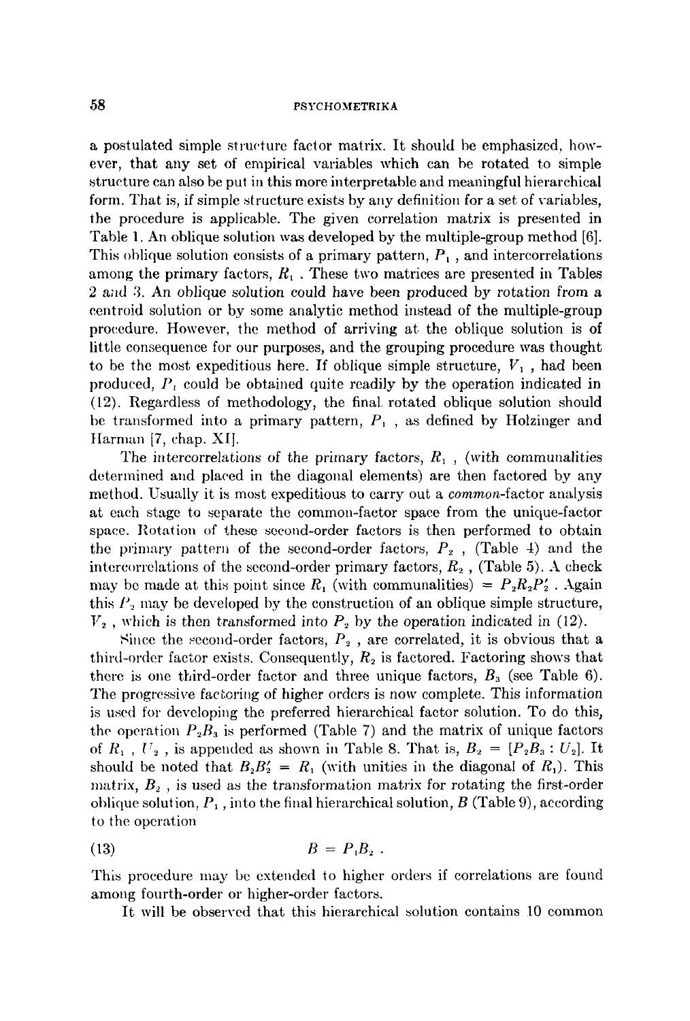## 58 PSYCHOMETRIKA

a postulated simple structure factor matrix. It should be emphasized, however, that any set of empirical variables which can be rotated to simple structure can also be put in this more interpretable and meaningful hierarchical form. That is, if simple structure exists by any definition for a set of variables, the procedure is applicable. The given correlation matrix is presented in Table 1. An oblique solution was developed by the multiple-group method [6]. This oblique solution consists of a primary pattern,  $P_1$ , and intercorrelations among the primary factors,  $R_1$ . These two matrices are presented in Tables 2 and 3. An oblique solution could have been produced by rotation from a eentroid solution or by some analytic method instead of the multiple-group procedure. However, the method of arriving at the oblique solution is of little consequence for our purposes, and the grouping procedure was thought to be the most expeditious here. If oblique simple structure,  $V_1$ , had been produced,  $P_i$  could be obtained quite readily by the operation indicated in (12). Regardless of methodology, the final rotated oblique solution should be transformed into a primary pattern,  $P_1$ , as defined by Holzinger and tlarman [7, chap. XI].

The intercorrelations of the primary factors,  $R_1$ , (with communalities determined and placed in the diagonal elements) are then factored by any method. Usually it is most expeditious to carry out a *common-factor* analysis at each stage to separate the common-factor space from the unique-factor space. Rotation of these second-order factors is then performed to obtain the primary pattern of the second-order factors,  $P_2$ , (Table 4) and the intercorrelations of the second-order primary factors,  $R_2$ , (Table 5). A check may be made at this point since  $R_1$  (with communalities) =  $P_2R_2P_2$ . Again this  $P_2$  may be developed by the construction of an oblique simple structure,  $V_2$ , which is then transformed into  $P_2$  by the operation indicated in (12).

Since the second-order factors,  $P_2$ , are correlated, it is obvious that a third-order factor exists. Consequently,  $R_2$  is factored. Factoring shows that there is one third-order factor and three unique factors,  $B_3$  (see Table 6). The progressive factoring of higher orders is now complete. This information is used for developing the preferred hierarchical factor solution. To do this, the operation  $P_2B_3$  is performed (Table 7) and the matrix of unique factors of  $R_1$ ,  $U_2$ , is appended as shown in Table 8. That is,  $B_2 = [P_2B_3: U_2]$ . It should be noted that  $B_2B_2' = R_1$  (with unities in the diagonal of  $R_1$ ). This matrix,  $B_2$ , is used as the transformation matrix for rotating the first-order oblique solution,  $P_1$ , into the final hierarchical solution, B (Table 9), according to the operation

$$
(13) \hspace{3.1em} B = P_1 B_2 \; .
$$

This procedure may be extended to higher orders if correlations are found among fourth-order or higher-order factors.

It will be observed that this hierarchical solution contains 10 common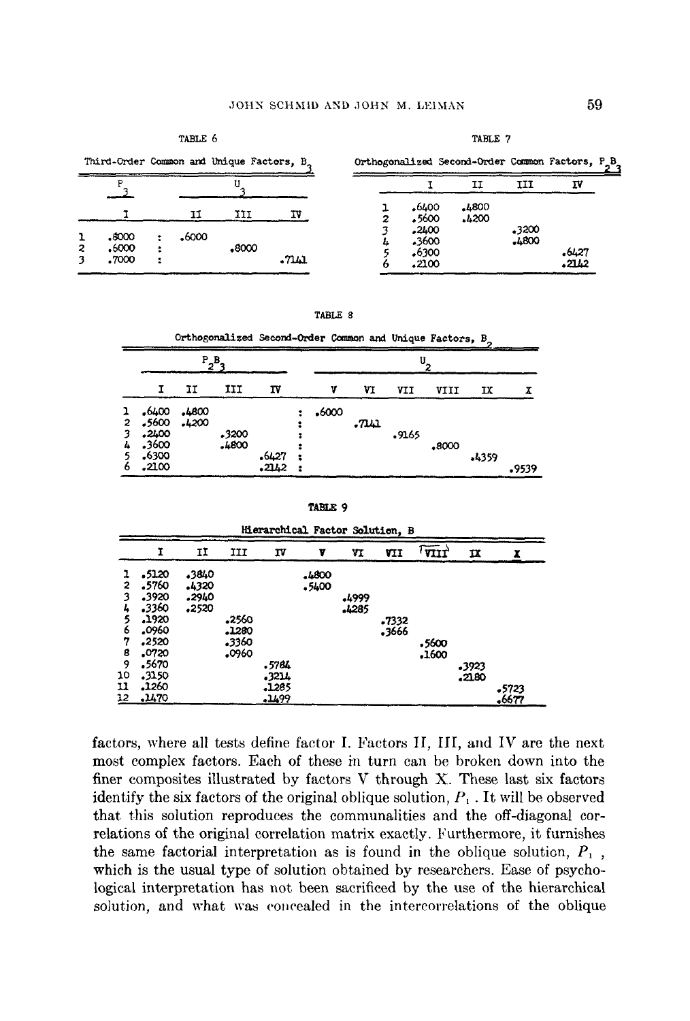TABLE 6

TABLE 7

| Third-Order Common and Unique Factors, B. | Orthogonalized Second-Order Common Factors, P_B_ |  |  |
|-------------------------------------------|--------------------------------------------------|--|--|
|                                           |                                                  |  |  |
|                                           |                                                  |  |  |

|                |       |       |    |   |                | IJ             | ш              | ΙV               |
|----------------|-------|-------|----|---|----------------|----------------|----------------|------------------|
|                |       | IJ    | TU | 2 | .6400<br>.5600 | .4800<br>.4200 |                |                  |
| .8000          | ,6000 |       |    | o | .2400<br>.3600 |                | .3200<br>.4800 |                  |
| .6000<br>.7000 |       | .8000 |    |   | 6300ء<br>.2100 |                |                | $-6427$<br>.21L2 |

| FABI. |  |
|-------|--|
|       |  |

|                                         |                                                    |                |                |                |  |       |    |       | Orthogonalized Second-Order Common and Unique Factors, B. |       |       |  |  |
|-----------------------------------------|----------------------------------------------------|----------------|----------------|----------------|--|-------|----|-------|-----------------------------------------------------------|-------|-------|--|--|
|                                         | $P_2B$                                             |                |                |                |  |       |    |       |                                                           |       |       |  |  |
|                                         |                                                    | п              | IJI            | ΙV             |  |       | VI | VII   | VIII                                                      | IX    |       |  |  |
| ı<br>$\overline{2}$<br>3<br>4<br>5<br>6 | ,6400<br>5600ء<br>.2400<br>.3600<br>6300.<br>-2100 | 4800ء<br>.4200 | 3200ء<br>.4800 | .6427<br>2142. |  | -6000 |    | -9165 | .8000                                                     | .4359 | 9539ء |  |  |

TABLE 9

|    |         |       |       |       | Hierarchical Factor Solution, B |       |       |                          |       |       |
|----|---------|-------|-------|-------|---------------------------------|-------|-------|--------------------------|-------|-------|
|    | Ĩ       | IΙ    | III   | ΙV    | v                               | VI    | VII   | $\widetilde{\text{var}}$ | IX    | x     |
|    | .5120   | -3840 |       |       | 4800ء                           |       |       |                          |       |       |
| 2  | 5760ء   | 4320ء |       |       | .5400                           |       |       |                          |       |       |
|    | .3920   | .2940 |       |       |                                 | .4999 |       |                          |       |       |
|    | 3360ء   | .2520 |       |       |                                 | -4285 |       |                          |       |       |
|    | ,1920   |       | .2560 |       |                                 |       | .7332 |                          |       |       |
| 6  | .0960   |       | .1280 |       |                                 |       | .3666 |                          |       |       |
| 7  | ,2520   |       | 3360ء |       |                                 |       |       | .5600                    |       |       |
| 8  | .0720   |       | .0960 |       |                                 |       |       | .1600                    |       |       |
| 9  | 5670ء   |       |       | .5764 |                                 |       |       |                          | -3923 |       |
| 10 | .3150   |       |       | .3214 |                                 |       |       |                          | 21.80 |       |
| 11 | $-1260$ |       |       | -1285 |                                 |       |       |                          |       | .5723 |
| 12 | .1470   |       |       | -1499 |                                 |       |       |                          |       | .6677 |

factors, where all tests define factor I. Factors II, III, and IV are the next most complex factors. Each of these in turn can be broken down into the finer composites illustrated by factors V through X. These last six factors identify the six factors of the original oblique solution,  $P_1$ . It will be observed that this solution reproduces the communalities and the off-diagonal correlations of the original correlation matrix exactly. Furthermore, it furnishes the same factorial interpretation as is found in the oblique solution,  $P_1$ , which is the usual type of solution obtained by researchers. Ease of psychological interpretation has not been sacrificed by the use of the hierarchical solution, and what was concealed in the intercorrelations of the oblique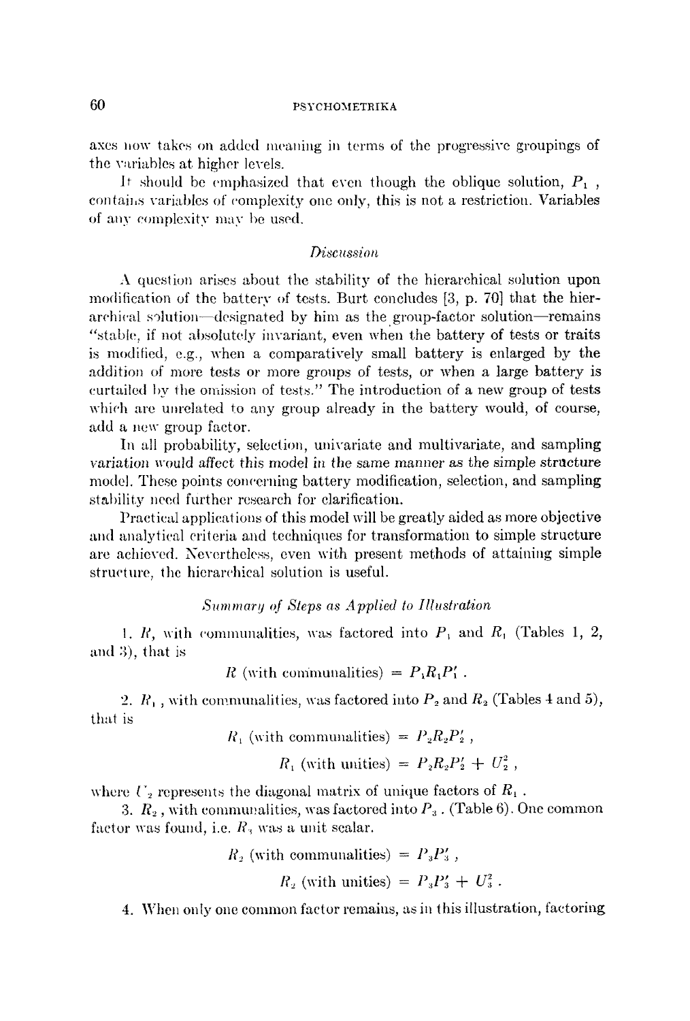# 60 PSYCHOMETRIKA

axes now takes on added meaning in terms of the progressive groupings of the wu'iables at higher levels.

It should be emphasized that even though the oblique solution,  $P_1$ , contains variables of complexity one only, this is not a restriction. Variables of any complexity may be used.

## *Di.scussion*

A question arises about the stability of the hierarchical solution upon modification of the battery of tests. Burt concludes  $[3, p. 70]$  that the hierarchical solution-designated by him as the group-factor solution-remains "stable, if not absolutely invariant, even when the battery of tests or traits is modified, e.g., when a comparatively small battery is enlarged by the addition of more tests or more groups of tests, or when a large battery is curtailed by the omission of tests." The introduction of a new group of tests which are unrelated to any group already in the battery would, of course, add a new group factor.

In all probability, selection, univariate and multivariate, and sampling variation would affect this model in the same manner as the simple structure model. These points concerning battery modification, selection, and sampling stability need further research for clarification.

Practical applications of this model will be greatly aided as more objective and analytical criteria and techniques for transformation to simple structure arc achieved. Nevertheless, even with present methods of attaining simple structure, the hierarchical solution is useful.

## *Summary of Steps as Applied to Illustration*

1. R, with communalities, was factored into  $P_1$  and  $R_1$  (Tables 1, 2, and 3), that is

R (with communalities) =  $P_1R_1P_1'$ .

2.  $R_1$ , with communalities, was factored into  $P_2$  and  $R_2$  (Tables 4 and 5), that is

$$
R_1
$$
 (with communities) =  $P_2R_2P'_2$ ,

$$
R_1
$$
 (with unities) =  $P_2R_2P'_2 + U_2^2$ ,

where  $U_2$  represents the diagonal matrix of unique factors of  $R_1$ .

3.  $R_{\scriptscriptstyle 2}$  , with communalities, was factored into  $P_{\scriptscriptstyle 3}$  . (Table 6). One common factor was found, i.e.  $R_3$  was a unit scalar.

$$
R_2
$$
 (with communities) =  $P_3P'_3$ ,  
 $R_2$  (with unities) =  $P_3P'_3 + U_3^2$ .

4. When only one common factor remains, as in this illustration, factoring